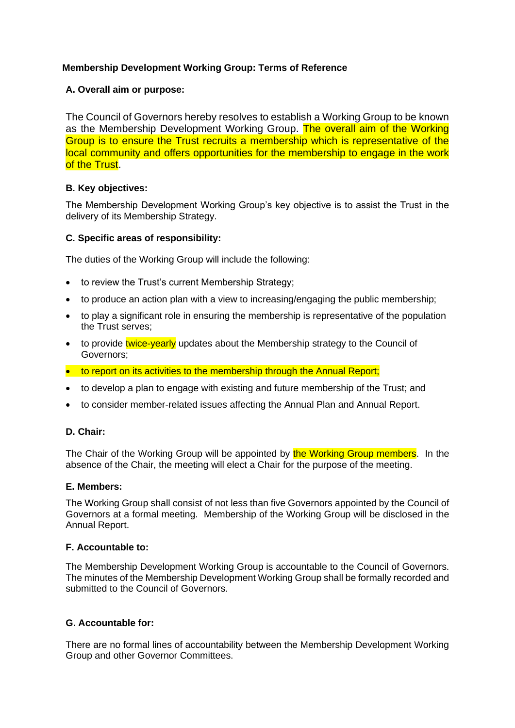# **Membership Development Working Group: Terms of Reference**

## **A. Overall aim or purpose:**

The Council of Governors hereby resolves to establish a Working Group to be known as the Membership Development Working Group. The overall aim of the Working Group is to ensure the Trust recruits a membership which is representative of the local community and offers opportunities for the membership to engage in the work of the Trust.

## **B. Key objectives:**

The Membership Development Working Group's key objective is to assist the Trust in the delivery of its Membership Strategy.

## **C. Specific areas of responsibility:**

The duties of the Working Group will include the following:

- to review the Trust's current Membership Strategy;
- to produce an action plan with a view to increasing/engaging the public membership;
- to play a significant role in ensuring the membership is representative of the population the Trust serves;
- to provide twice-yearly updates about the Membership strategy to the Council of Governors;
- to report on its activities to the membership through the Annual Report;
- to develop a plan to engage with existing and future membership of the Trust; and
- to consider member-related issues affecting the Annual Plan and Annual Report.

## **D. Chair:**

The Chair of the Working Group will be appointed by the Working Group members. In the absence of the Chair, the meeting will elect a Chair for the purpose of the meeting.

## **E. Members:**

The Working Group shall consist of not less than five Governors appointed by the Council of Governors at a formal meeting. Membership of the Working Group will be disclosed in the Annual Report.

## **F. Accountable to:**

The Membership Development Working Group is accountable to the Council of Governors. The minutes of the Membership Development Working Group shall be formally recorded and submitted to the Council of Governors.

## **G. Accountable for:**

There are no formal lines of accountability between the Membership Development Working Group and other Governor Committees.